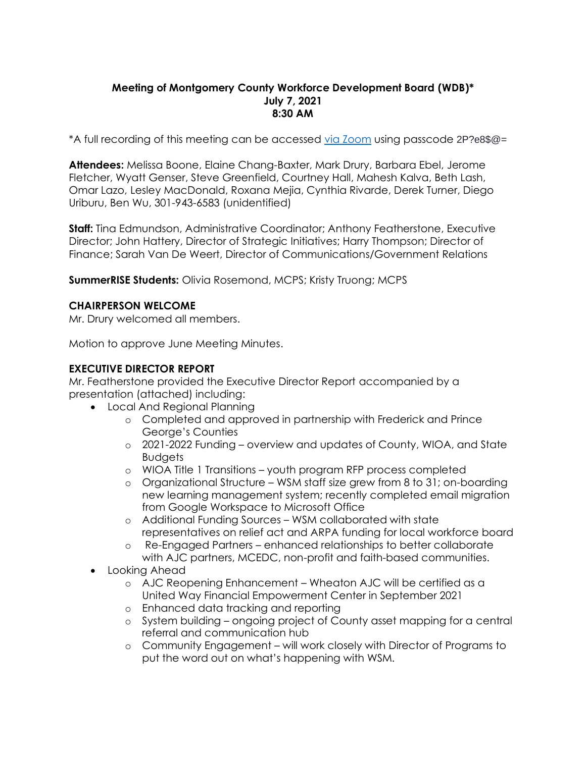# **Meeting of Montgomery County Workforce Development Board (WDB)\* July 7, 2021 8:30 AM**

\*A full recording of this meeting can be accessed [via Zoom](https://us02web.zoom.us/rec/share/qcbpJDvb2AIwHOynX9if7ngOCiCwT-UCuBXD8CCSel6UeQmW1TTHnhOqLiqvJUam.CK5ri2zEdtqfLfm5?startTime=1625660682000) using passcode 2P?e8\$@=

**Attendees:** Melissa Boone, Elaine Chang-Baxter, Mark Drury, Barbara Ebel, Jerome Fletcher, Wyatt Genser, Steve Greenfield, Courtney Hall, Mahesh Kalva, Beth Lash, Omar Lazo, Lesley MacDonald, Roxana Mejia, Cynthia Rivarde, Derek Turner, Diego Uriburu, Ben Wu, 301-943-6583 (unidentified)

**Staff:** Tina Edmundson, Administrative Coordinator; Anthony Featherstone, Executive Director; John Hattery, Director of Strategic Initiatives; Harry Thompson; Director of Finance; Sarah Van De Weert, Director of Communications/Government Relations

**SummerRISE Students:** Olivia Rosemond, MCPS; Kristy Truong; MCPS

# **CHAIRPERSON WELCOME**

Mr. Drury welcomed all members.

Motion to approve June Meeting Minutes.

# **EXECUTIVE DIRECTOR REPORT**

Mr. Featherstone provided the Executive Director Report accompanied by a presentation (attached) including:

- Local And Regional Planning
	- o Completed and approved in partnership with Frederick and Prince George's Counties
	- o 2021-2022 Funding overview and updates of County, WIOA, and State Budgets
	- o WIOA Title 1 Transitions youth program RFP process completed
	- o Organizational Structure WSM staff size grew from 8 to 31; on-boarding new learning management system; recently completed email migration from Google Workspace to Microsoft Office
	- o Additional Funding Sources WSM collaborated with state representatives on relief act and ARPA funding for local workforce board
	- o Re-Engaged Partners enhanced relationships to better collaborate with AJC partners, MCEDC, non-profit and faith-based communities.
- Looking Ahead
	- o AJC Reopening Enhancement Wheaton AJC will be certified as a United Way Financial Empowerment Center in September 2021
	- o Enhanced data tracking and reporting
	- o System building ongoing project of County asset mapping for a central referral and communication hub
	- o Community Engagement will work closely with Director of Programs to put the word out on what's happening with WSM.